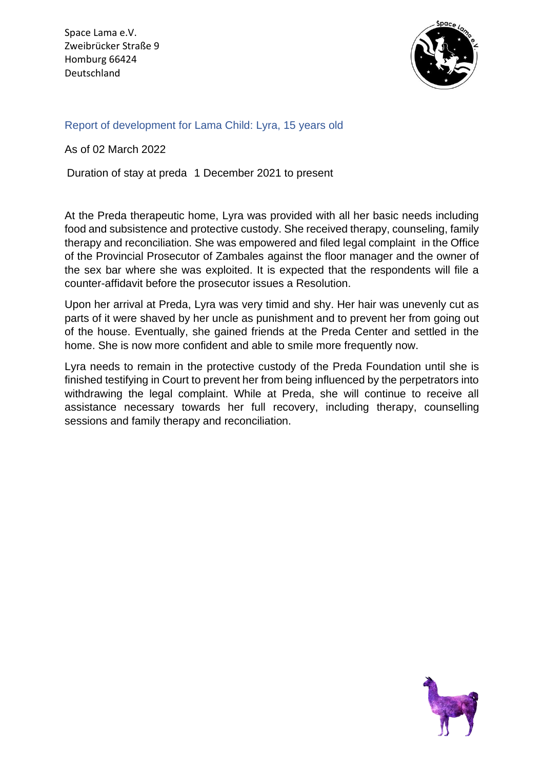Space Lama e.V. Zweibrücker Straße 9 Homburg 66424 Deutschland



## Report of development for Lama Child: Lyra, 15 years old

As of 02 March 2022

Duration of stay at preda 1 December 2021 to present

At the Preda therapeutic home, Lyra was provided with all her basic needs including food and subsistence and protective custody. She received therapy, counseling, family therapy and reconciliation. She was empowered and filed legal complaint in the Office of the Provincial Prosecutor of Zambales against the floor manager and the owner of the sex bar where she was exploited. It is expected that the respondents will file a counter-affidavit before the prosecutor issues a Resolution.

Upon her arrival at Preda, Lyra was very timid and shy. Her hair was unevenly cut as parts of it were shaved by her uncle as punishment and to prevent her from going out of the house. Eventually, she gained friends at the Preda Center and settled in the home. She is now more confident and able to smile more frequently now.

Lyra needs to remain in the protective custody of the Preda Foundation until she is finished testifying in Court to prevent her from being influenced by the perpetrators into withdrawing the legal complaint. While at Preda, she will continue to receive all assistance necessary towards her full recovery, including therapy, counselling sessions and family therapy and reconciliation.